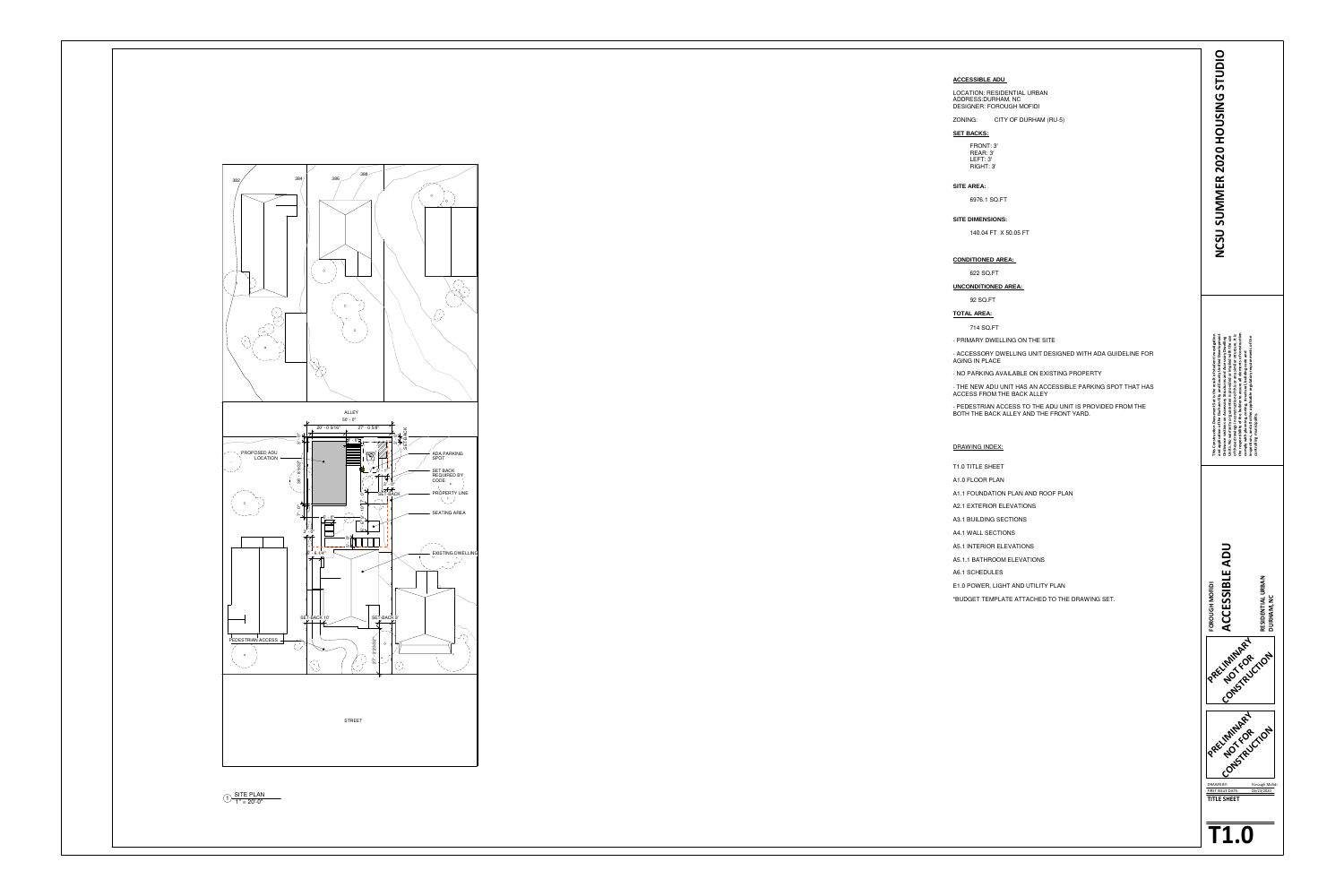

- ACCESSORY DWELLING UNIT DESIGNED WITH ADA GUIDELINE FOR **AGING IN PLACE** 

- NO PARKING AVAILABLE ON EXISTING PROPERTY

**controlling municipality.**

![](_page_0_Picture_35.jpeg)

![](_page_0_Figure_33.jpeg)

![](_page_0_Figure_34.jpeg)

| <b>ACCESSIBLE ADU</b> |  |
|-----------------------|--|
|                       |  |

#### LOCATION: RESIDENTIAL URBAN ADDRESS:DURHAM, NCDESIGNER: FOROUGH MOFIDI

ZONING: CITY OF DURHAM (RU-5)

#### **SET BACKS:**

FRONT: 3'REAR: 3' LEFT: 3'RIGHT: 3'

# **SITE AREA:**

6976.1 SQ.FT

#### **SITE DIMENSIONS:**

140.04 FT X 50.05 FT

## **CONDITIONED AREA:**

622 SQ.FT

## **UNCONDITIONED AREA:**

92 SQ.FT

**TOTAL AREA:** 

714 SQ.FT

- PRIMARY DWELLING ON THE SITE

- THE NEW ADU UNIT HAS AN ACCESSIBLE PARKING SPOT THAT HAS ACCESS FROM THE BACK ALLEY

- PEDESTRIAN ACCESS TO THE ADU UNIT IS PROVIDED FROM THE BOTH THE BACK ALLEY AND THE FRONT YARD.

# DRAWING INDEX:

T1.0 TITLE SHEET

- A1.0 FLOOR PLAN
- A1.1 FOUNDATION PLAN AND ROOF PLAN
- A2.1 EXTERIOR ELEVATIONS
- A3.1 BUILDING SECTIONS
- A4.1 WALL SECTIONS
- A5.1 INTERIOR ELEVATIONS
- A5.1.1 BATHROOM ELEVATIONS

A6.1 SCHEDULES

E1.0 POWER, LIGHT AND UTILITY PLAN

\*BUDGET TEMPLATE ATTACHED TO THE DRAWING SET.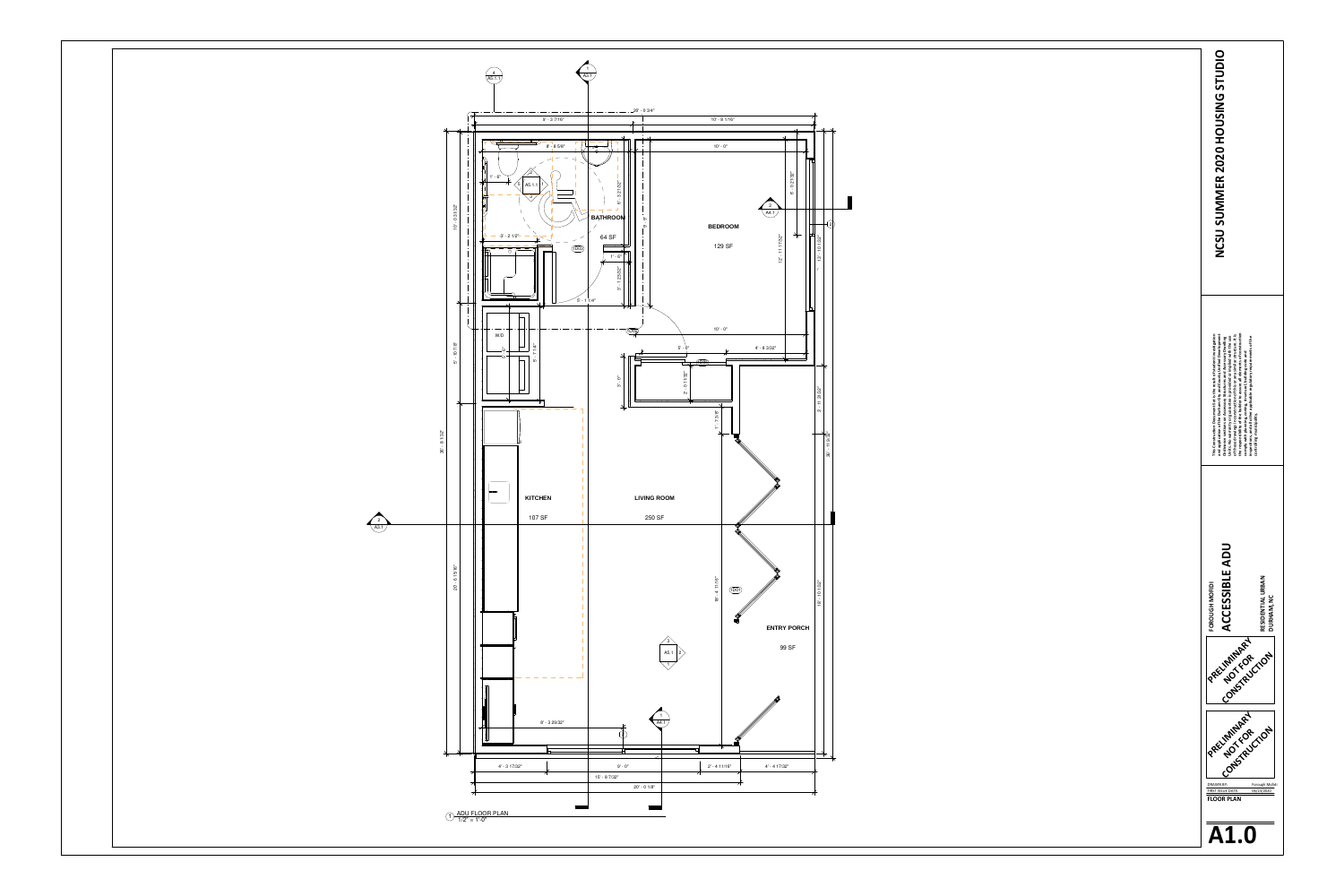![](_page_1_Figure_0.jpeg)

![](_page_1_Figure_1.jpeg)